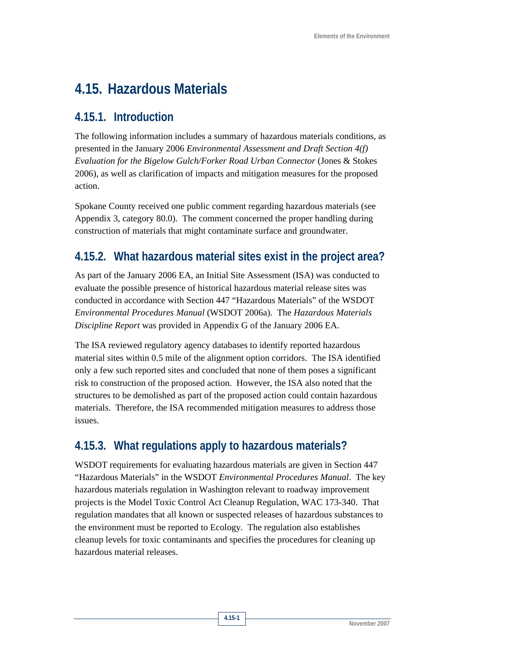# **4.15. Hazardous Materials**

### **4.15.1. Introduction**

The following information includes a summary of hazardous materials conditions, as presented in the January 2006 *Environmental Assessment and Draft Section 4(f) Evaluation for the Bigelow Gulch/Forker Road Urban Connector* (Jones & Stokes 2006), as well as clarification of impacts and mitigation measures for the proposed action.

Spokane County received one public comment regarding hazardous materials (see Appendix 3, category 80.0). The comment concerned the proper handling during construction of materials that might contaminate surface and groundwater.

# **4.15.2. What hazardous material sites exist in the project area?**

As part of the January 2006 EA, an Initial Site Assessment (ISA) was conducted to evaluate the possible presence of historical hazardous material release sites was conducted in accordance with Section 447 "Hazardous Materials" of the WSDOT *Environmental Procedures Manual* (WSDOT 2006a). The *Hazardous Materials Discipline Report* was provided in Appendix G of the January 2006 EA.

The ISA reviewed regulatory agency databases to identify reported hazardous material sites within 0.5 mile of the alignment option corridors. The ISA identified only a few such reported sites and concluded that none of them poses a significant risk to construction of the proposed action. However, the ISA also noted that the structures to be demolished as part of the proposed action could contain hazardous materials. Therefore, the ISA recommended mitigation measures to address those issues.

# **4.15.3. What regulations apply to hazardous materials?**

WSDOT requirements for evaluating hazardous materials are given in Section 447 "Hazardous Materials" in the WSDOT *Environmental Procedures Manual*. The key hazardous materials regulation in Washington relevant to roadway improvement projects is the Model Toxic Control Act Cleanup Regulation, WAC 173-340. That regulation mandates that all known or suspected releases of hazardous substances to the environment must be reported to Ecology. The regulation also establishes cleanup levels for toxic contaminants and specifies the procedures for cleaning up hazardous material releases.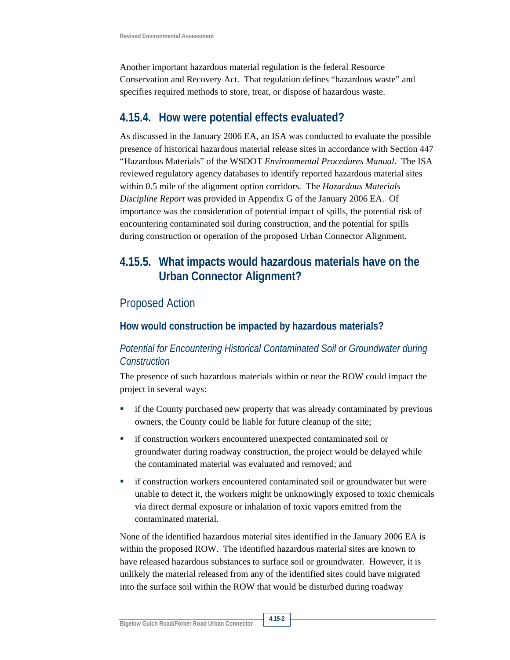Another important hazardous material regulation is the federal Resource Conservation and Recovery Act. That regulation defines "hazardous waste" and specifies required methods to store, treat, or dispose of hazardous waste.

### **4.15.4. How were potential effects evaluated?**

As discussed in the January 2006 EA, an ISA was conducted to evaluate the possible presence of historical hazardous material release sites in accordance with Section 447 "Hazardous Materials" of the WSDOT *Environmental Procedures Manual*. The ISA reviewed regulatory agency databases to identify reported hazardous material sites within 0.5 mile of the alignment option corridors. The *Hazardous Materials Discipline Report* was provided in Appendix G of the January 2006 EA. Of importance was the consideration of potential impact of spills, the potential risk of encountering contaminated soil during construction, and the potential for spills during construction or operation of the proposed Urban Connector Alignment.

## **4.15.5. What impacts would hazardous materials have on the Urban Connector Alignment?**

### Proposed Action

#### **How would construction be impacted by hazardous materials?**

#### *Potential for Encountering Historical Contaminated Soil or Groundwater during Construction*

The presence of such hazardous materials within or near the ROW could impact the project in several ways:

- if the County purchased new property that was already contaminated by previous owners, the County could be liable for future cleanup of the site;
- **if construction workers encountered unexpected contaminated soil or** groundwater during roadway construction, the project would be delayed while the contaminated material was evaluated and removed; and
- **if construction workers encountered contaminated soil or groundwater but were** unable to detect it, the workers might be unknowingly exposed to toxic chemicals via direct dermal exposure or inhalation of toxic vapors emitted from the contaminated material.

None of the identified hazardous material sites identified in the January 2006 EA is within the proposed ROW. The identified hazardous material sites are known to have released hazardous substances to surface soil or groundwater. However, it is unlikely the material released from any of the identified sites could have migrated into the surface soil within the ROW that would be disturbed during roadway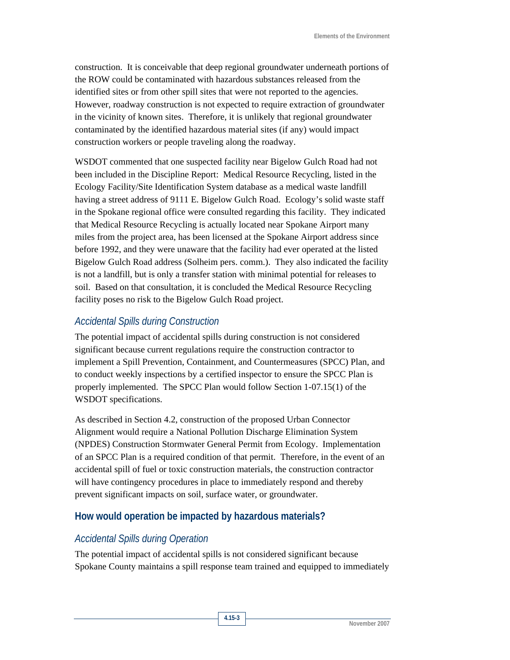construction. It is conceivable that deep regional groundwater underneath portions of the ROW could be contaminated with hazardous substances released from the identified sites or from other spill sites that were not reported to the agencies. However, roadway construction is not expected to require extraction of groundwater in the vicinity of known sites. Therefore, it is unlikely that regional groundwater contaminated by the identified hazardous material sites (if any) would impact construction workers or people traveling along the roadway.

WSDOT commented that one suspected facility near Bigelow Gulch Road had not been included in the Discipline Report: Medical Resource Recycling, listed in the Ecology Facility/Site Identification System database as a medical waste landfill having a street address of 9111 E. Bigelow Gulch Road. Ecology's solid waste staff in the Spokane regional office were consulted regarding this facility. They indicated that Medical Resource Recycling is actually located near Spokane Airport many miles from the project area, has been licensed at the Spokane Airport address since before 1992, and they were unaware that the facility had ever operated at the listed Bigelow Gulch Road address (Solheim pers. comm.). They also indicated the facility is not a landfill, but is only a transfer station with minimal potential for releases to soil. Based on that consultation, it is concluded the Medical Resource Recycling facility poses no risk to the Bigelow Gulch Road project.

#### *Accidental Spills during Construction*

The potential impact of accidental spills during construction is not considered significant because current regulations require the construction contractor to implement a Spill Prevention, Containment, and Countermeasures (SPCC) Plan, and to conduct weekly inspections by a certified inspector to ensure the SPCC Plan is properly implemented. The SPCC Plan would follow Section 1-07.15(1) of the WSDOT specifications.

As described in Section 4.2, construction of the proposed Urban Connector Alignment would require a National Pollution Discharge Elimination System (NPDES) Construction Stormwater General Permit from Ecology. Implementation of an SPCC Plan is a required condition of that permit. Therefore, in the event of an accidental spill of fuel or toxic construction materials, the construction contractor will have contingency procedures in place to immediately respond and thereby prevent significant impacts on soil, surface water, or groundwater.

#### **How would operation be impacted by hazardous materials?**

#### *Accidental Spills during Operation*

The potential impact of accidental spills is not considered significant because Spokane County maintains a spill response team trained and equipped to immediately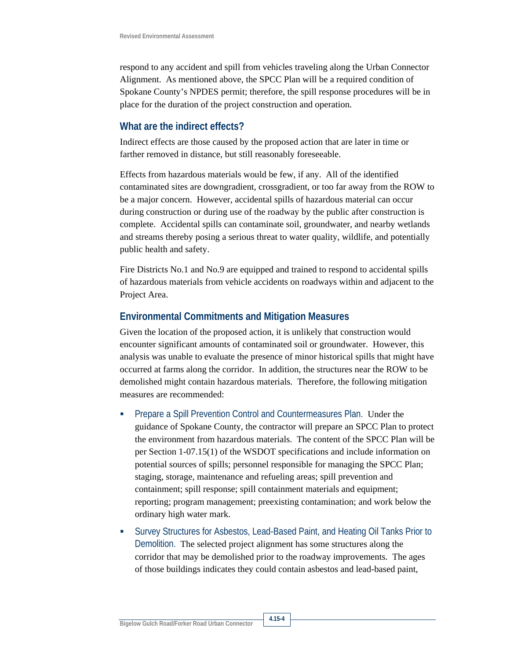respond to any accident and spill from vehicles traveling along the Urban Connector Alignment. As mentioned above, the SPCC Plan will be a required condition of Spokane County's NPDES permit; therefore, the spill response procedures will be in place for the duration of the project construction and operation.

#### **What are the indirect effects?**

Indirect effects are those caused by the proposed action that are later in time or farther removed in distance, but still reasonably foreseeable.

Effects from hazardous materials would be few, if any. All of the identified contaminated sites are downgradient, crossgradient, or too far away from the ROW to be a major concern. However, accidental spills of hazardous material can occur during construction or during use of the roadway by the public after construction is complete. Accidental spills can contaminate soil, groundwater, and nearby wetlands and streams thereby posing a serious threat to water quality, wildlife, and potentially public health and safety.

Fire Districts No.1 and No.9 are equipped and trained to respond to accidental spills of hazardous materials from vehicle accidents on roadways within and adjacent to the Project Area.

#### **Environmental Commitments and Mitigation Measures**

Given the location of the proposed action, it is unlikely that construction would encounter significant amounts of contaminated soil or groundwater. However, this analysis was unable to evaluate the presence of minor historical spills that might have occurred at farms along the corridor. In addition, the structures near the ROW to be demolished might contain hazardous materials. Therefore, the following mitigation measures are recommended:

- Prepare a Spill Prevention Control and Countermeasures Plan. Under the guidance of Spokane County, the contractor will prepare an SPCC Plan to protect the environment from hazardous materials. The content of the SPCC Plan will be per Section 1-07.15(1) of the WSDOT specifications and include information on potential sources of spills; personnel responsible for managing the SPCC Plan; staging, storage, maintenance and refueling areas; spill prevention and containment; spill response; spill containment materials and equipment; reporting; program management; preexisting contamination; and work below the ordinary high water mark.
- Survey Structures for Asbestos, Lead-Based Paint, and Heating Oil Tanks Prior to Demolition. The selected project alignment has some structures along the corridor that may be demolished prior to the roadway improvements. The ages of those buildings indicates they could contain asbestos and lead-based paint,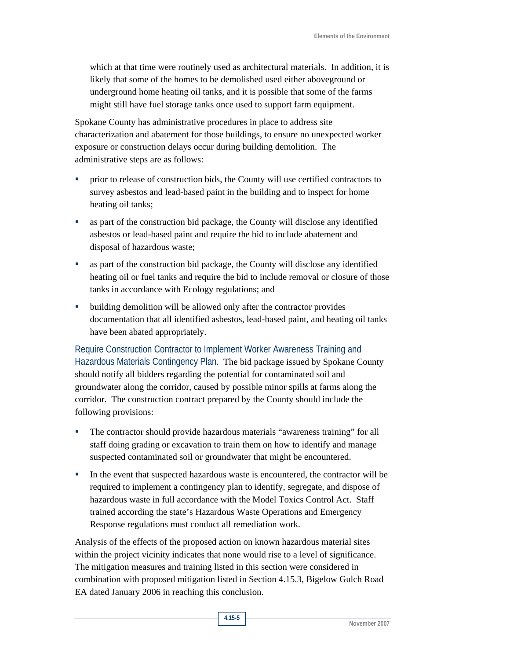which at that time were routinely used as architectural materials. In addition, it is likely that some of the homes to be demolished used either aboveground or underground home heating oil tanks, and it is possible that some of the farms might still have fuel storage tanks once used to support farm equipment.

Spokane County has administrative procedures in place to address site characterization and abatement for those buildings, to ensure no unexpected worker exposure or construction delays occur during building demolition. The administrative steps are as follows:

- prior to release of construction bids, the County will use certified contractors to survey asbestos and lead-based paint in the building and to inspect for home heating oil tanks;
- as part of the construction bid package, the County will disclose any identified asbestos or lead-based paint and require the bid to include abatement and disposal of hazardous waste;
- as part of the construction bid package, the County will disclose any identified heating oil or fuel tanks and require the bid to include removal or closure of those tanks in accordance with Ecology regulations; and
- building demolition will be allowed only after the contractor provides documentation that all identified asbestos, lead-based paint, and heating oil tanks have been abated appropriately.

Require Construction Contractor to Implement Worker Awareness Training and Hazardous Materials Contingency Plan. The bid package issued by Spokane County should notify all bidders regarding the potential for contaminated soil and groundwater along the corridor, caused by possible minor spills at farms along the corridor. The construction contract prepared by the County should include the following provisions:

- The contractor should provide hazardous materials "awareness training" for all staff doing grading or excavation to train them on how to identify and manage suspected contaminated soil or groundwater that might be encountered.
- In the event that suspected hazardous waste is encountered, the contractor will be required to implement a contingency plan to identify, segregate, and dispose of hazardous waste in full accordance with the Model Toxics Control Act. Staff trained according the state's Hazardous Waste Operations and Emergency Response regulations must conduct all remediation work.

Analysis of the effects of the proposed action on known hazardous material sites within the project vicinity indicates that none would rise to a level of significance. The mitigation measures and training listed in this section were considered in combination with proposed mitigation listed in Section 4.15.3, Bigelow Gulch Road EA dated January 2006 in reaching this conclusion.